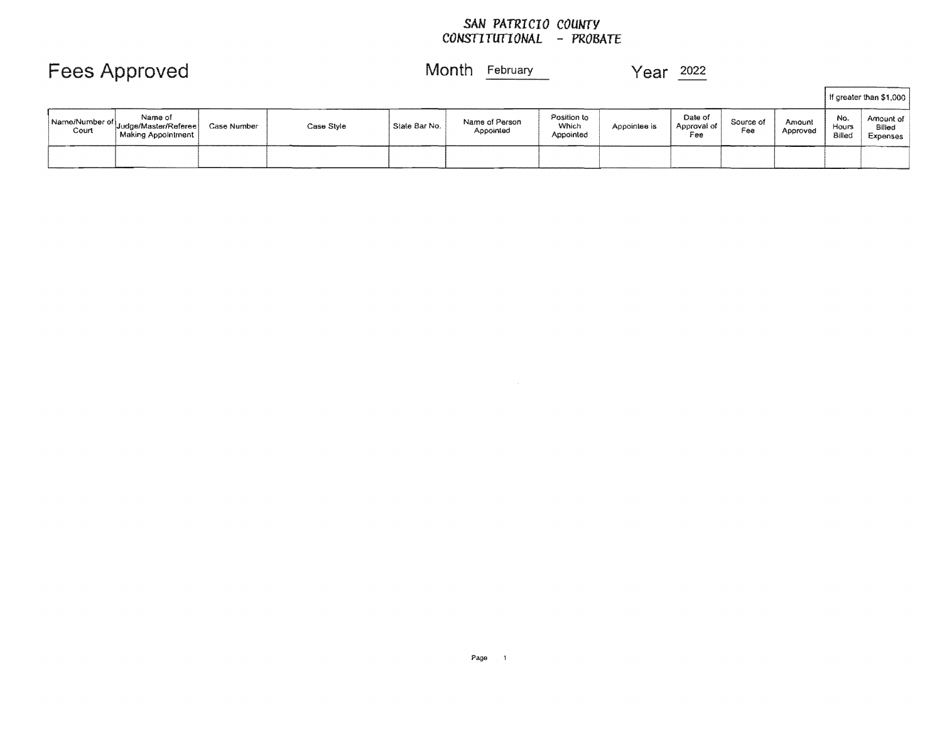### *SAN PATRICIO COUNTY CONSTITUfIONAL*

 $\sim 10^{-1}$ 

|       |                                                                          |             |            |               |                             |                                   |              |                               |                  |                    |                        | If greater than \$1,000         |
|-------|--------------------------------------------------------------------------|-------------|------------|---------------|-----------------------------|-----------------------------------|--------------|-------------------------------|------------------|--------------------|------------------------|---------------------------------|
| Court | Name of<br>Name/Number of Judge/Master/Referee   C<br>Making Appointment | Case Number | Case Style | State Bar No. | Name of Person<br>Appointed | Position to<br>Which<br>Appointed | Appointee is | Date of<br>Approval of<br>Fee | Source of<br>Fee | Amount<br>Approved | No.<br>Hours<br>Billed | Amount of<br>Billed<br>Expenses |
|       |                                                                          |             |            |               |                             |                                   |              |                               |                  |                    |                        |                                 |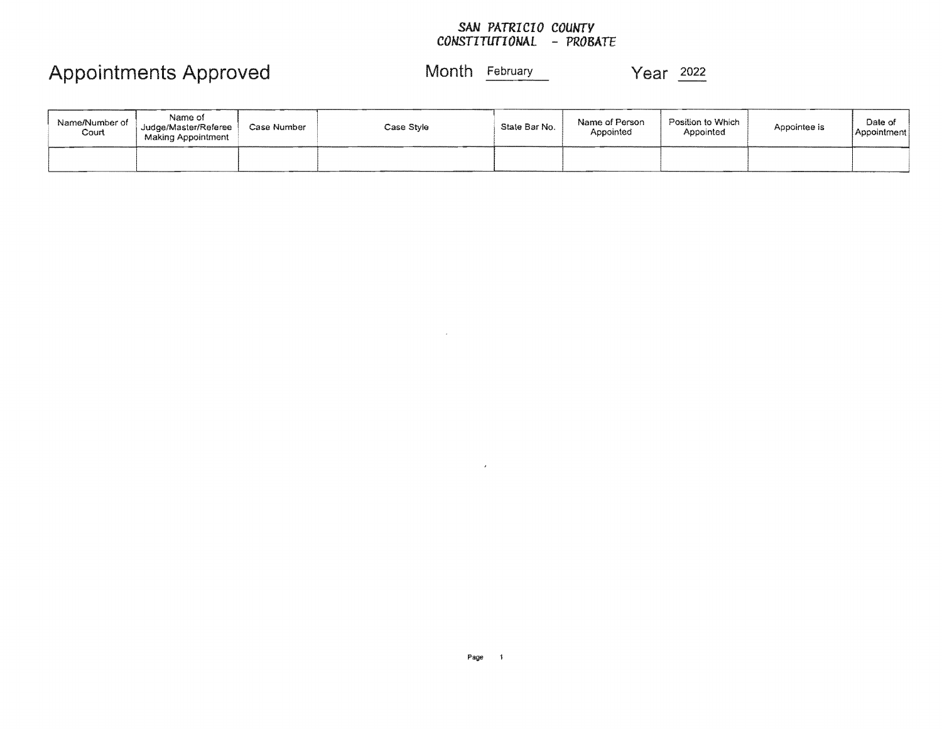### *SAN PATRICIO COUNTY CONSTITUTIONAL* - *PROBATE*

# Appointments Approved Month February Year 2022

| Name/Number of<br>Court | Name of<br>Judge/Master/Referee<br>Making Appointment | Case Number | Case Style | State Bar No. | Name of Person<br>Appointed | Position to Which<br>Appointed | Appointee is | Date of<br>Appointment |
|-------------------------|-------------------------------------------------------|-------------|------------|---------------|-----------------------------|--------------------------------|--------------|------------------------|
|                         |                                                       |             |            |               |                             |                                |              |                        |

 $\epsilon$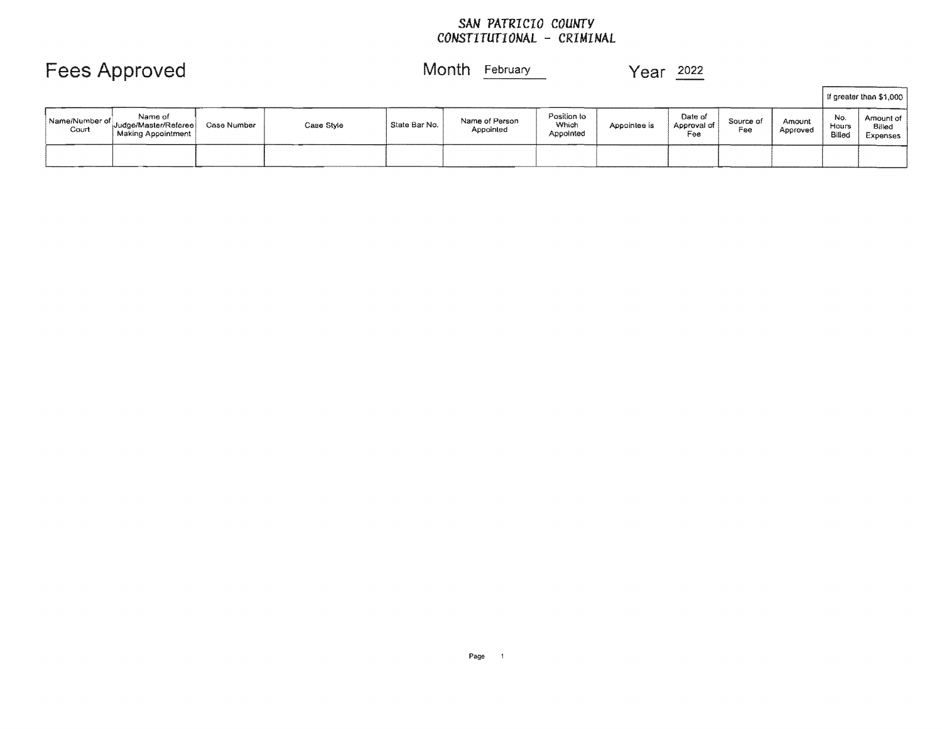### *SAN PATRICIO COUNTY CONSTITUTIONAL* - *CRIMINAL*

|                         |                                                       |             |            |               |                             |                                   |              |                               |                  |                    |                        | If greater than \$1,000         |
|-------------------------|-------------------------------------------------------|-------------|------------|---------------|-----------------------------|-----------------------------------|--------------|-------------------------------|------------------|--------------------|------------------------|---------------------------------|
| Name/Number of<br>Court | Name of<br>Judge/Master/Referee<br>Making Appointment | Case Number | Case Style | State Bar No. | Name of Person<br>Appointed | Position to<br>Which<br>Appointed | Appointee is | Date of<br>Approval of<br>Fee | Source of<br>Fee | Amount<br>Approved | No.<br>Hours<br>Biller | Amount of<br>Billed<br>Expenses |
|                         |                                                       |             |            |               |                             |                                   |              |                               |                  |                    |                        |                                 |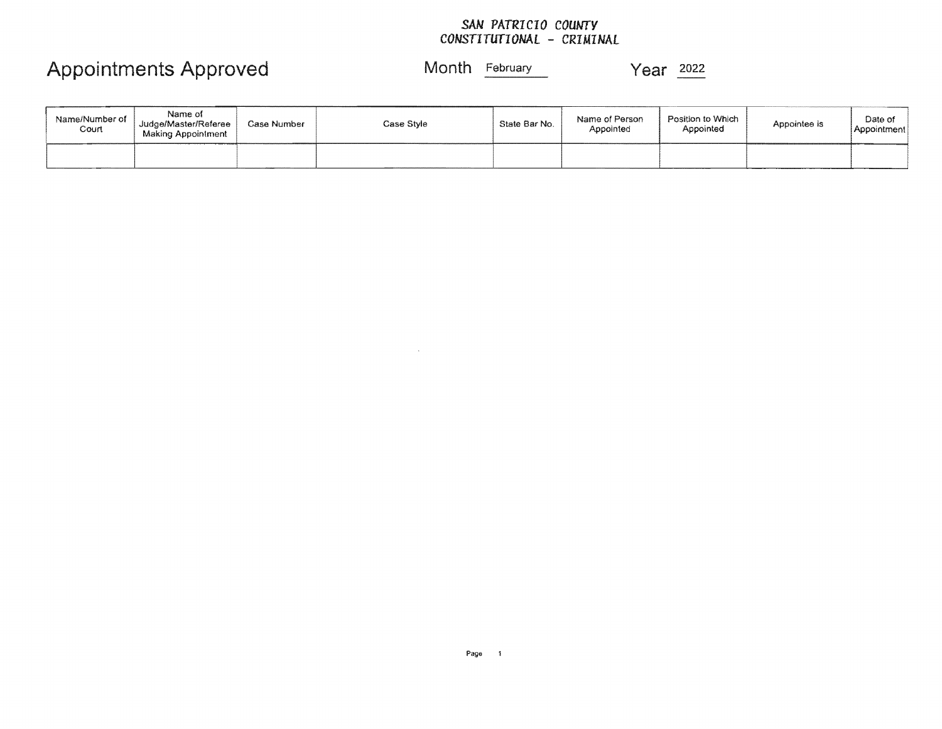### SAN *PATRICIO COUNTY CONSTITUTIONAL* - *CRIMINAL*

# Appointments Approved Month February Year 2022

| Name/Number of<br>Court | Name of<br>Judge/Master/Referee<br>Making Appointment | Case Number | Case Style | State Bar No. | Name of Person<br>Appointed | Position to Which<br>Appointed | Appointee is | <b></b><br>Date of<br>  Appointment |
|-------------------------|-------------------------------------------------------|-------------|------------|---------------|-----------------------------|--------------------------------|--------------|-------------------------------------|
|                         |                                                       |             |            |               |                             |                                |              |                                     |

 $\sim$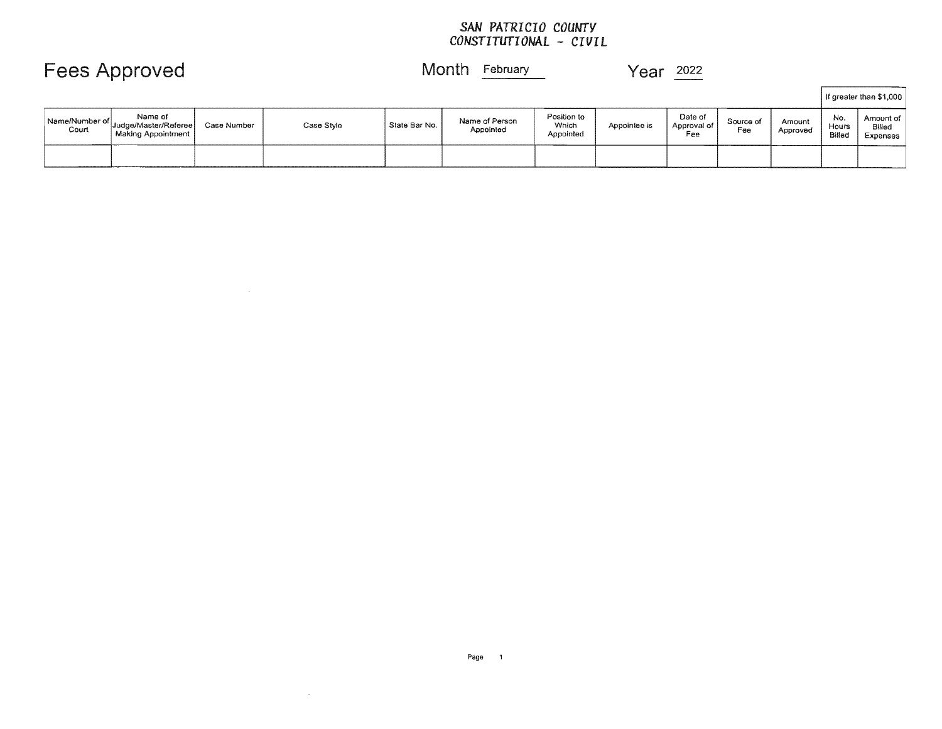### *SAN PATRICIO COUNTY CONSTITUTIONAL* - *CIVIL*

Fees Approved Month February Year 2022

|                         |                                                         |             |            |               |                             |                                   |              |                               |                  |                    |                        | If greater than \$1,000         |
|-------------------------|---------------------------------------------------------|-------------|------------|---------------|-----------------------------|-----------------------------------|--------------|-------------------------------|------------------|--------------------|------------------------|---------------------------------|
| Name/Number of<br>Court | Name of<br>' Judge/Master/Referee<br>Making Appointment | Case Number | Case Style | State Bar No. | Name of Person<br>Appointed | Position to<br>Which<br>Appointed | Appointee is | Date of<br>Approval of<br>Fee | Source of<br>Fee | Amount<br>Approved | No.<br>Hours<br>Billed | Amount of<br>Billed<br>Expenses |
|                         |                                                         |             |            |               |                             |                                   |              |                               |                  |                    |                        |                                 |

 $\mathcal{L}^{\text{max}}_{\text{max}}$ 

 $\mathcal{L}^{\mathcal{L}}(\mathcal{A})$  and  $\mathcal{L}^{\mathcal{L}}(\mathcal{A})$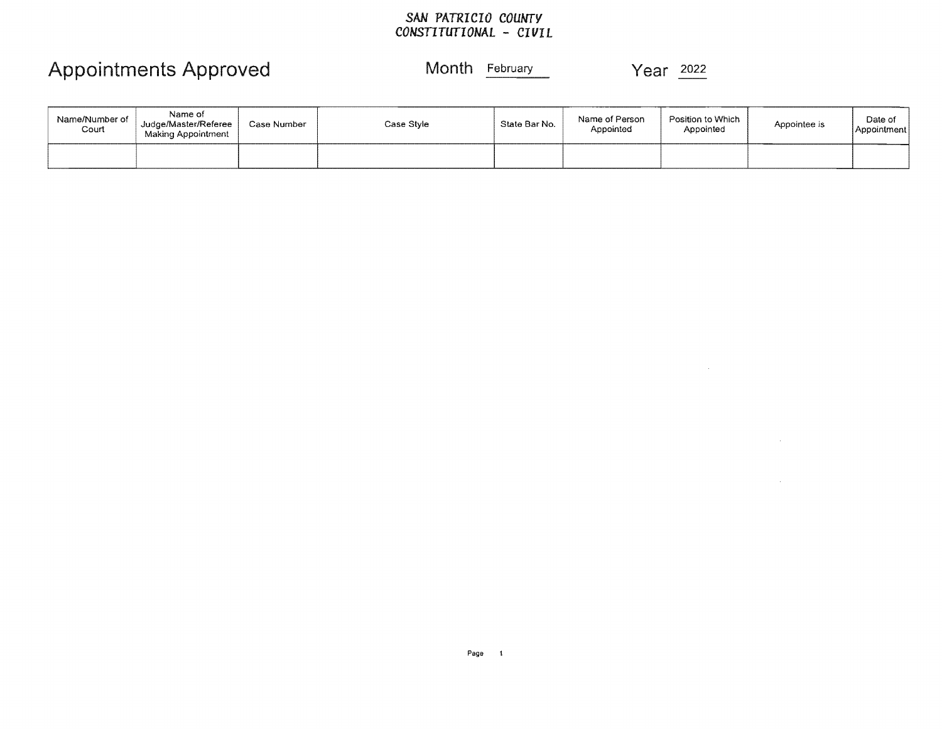### *SAN PATRICIO COUNTY CONST1TUTIONAL* - *CIVIL*

# Appointments Approved Month February Year 2022

 $\sim 100$ 

 $\sim$ 

 $\sim$ 

| Name/Number of<br>Court | Name of<br>Judge/Master/Referee<br>Making Appointment | Case Number | Case Style | State Bar No. | Name of Person<br>Appointed | Position to Which<br>Appointed | Appointee is | Date of<br>Appointment |
|-------------------------|-------------------------------------------------------|-------------|------------|---------------|-----------------------------|--------------------------------|--------------|------------------------|
|                         |                                                       |             |            |               |                             |                                |              |                        |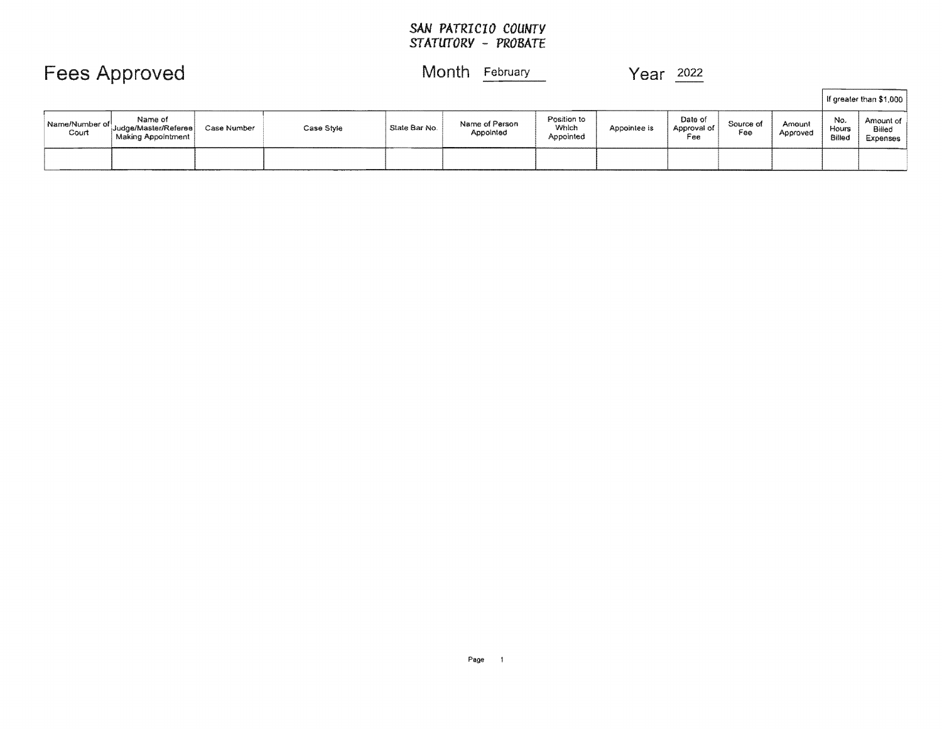### *SAN PATRICIO COUNTY STATUTORY* **-** *PROBATE*

Fees Approved Month February Month Personal Month Personal Month Personal Month Personal Media 2022

|                         |                                                       |             |            |               |                             |                                   |              |                               |                  |                    |                        | If greater than \$1,000         |
|-------------------------|-------------------------------------------------------|-------------|------------|---------------|-----------------------------|-----------------------------------|--------------|-------------------------------|------------------|--------------------|------------------------|---------------------------------|
| Name/Number of<br>Court | Name of<br>Judge/Master/Referee<br>Making Appointment | Case Number | Case Style | State Bar No. | Name of Person<br>Appointed | Position to<br>Which<br>Appointed | Appointee is | Date of<br>Approval of<br>Fee | Source of<br>Fee | Amount<br>Approved | No.<br>Hours<br>Billed | Amount of<br>Billed<br>Expenses |
|                         |                                                       |             |            |               |                             |                                   |              |                               |                  |                    |                        |                                 |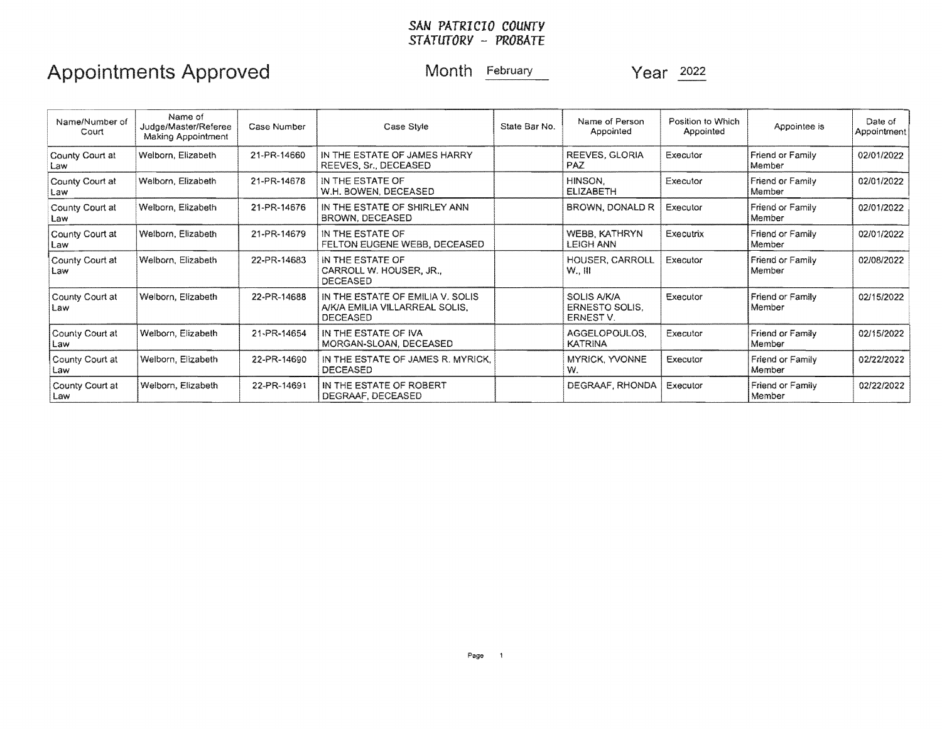#### *SAN PATRICIO COUNTY STATUTORY* - *PROBATE*

# Appointments Approved Month February Month Year 2022

| Name/Number of<br>Court  | Name of<br>Judge/Master/Referee<br>Making Appointment | Case Number | Case Style                                                                            | State Bar No. | Name of Person<br>Appointed                              | Position to Which<br>Appointed | Appointee is               | Date of<br>Appointment |
|--------------------------|-------------------------------------------------------|-------------|---------------------------------------------------------------------------------------|---------------|----------------------------------------------------------|--------------------------------|----------------------------|------------------------|
| County Court at<br>Law   | Welborn, Elizabeth                                    | 21-PR-14660 | IN THE ESTATE OF JAMES HARRY<br>REEVES, Sr., DECEASED                                 |               | REEVES, GLORIA<br>PAZ                                    | Executor                       | Friend or Family<br>Member | 02/01/2022             |
| County Court at<br>Law   | Welborn, Elizabeth                                    | 21-PR-14678 | IN THE ESTATE OF<br>W.H. BOWEN, DECEASED                                              |               | HINSON.<br><b>ELIZABETH</b>                              | Executor                       | Friend or Family<br>Member | 02/01/2022             |
| County Court at<br>Law   | Welborn, Elizabeth                                    | 21-PR-14676 | IN THE ESTATE OF SHIRLEY ANN<br>BROWN, DECEASED                                       |               | BROWN, DONALD R                                          | Executor                       | Friend or Family<br>Member | 02/01/2022             |
| County Court at<br>l Law | Welborn, Elizabeth                                    | 21-PR-14679 | IN THE ESTATE OF<br>FELTON EUGENE WEBB, DECEASED                                      |               | WEBB, KATHRYN<br>LEIGH ANN                               | <b>Executrix</b>               | Friend or Family<br>Member | 02/01/2022             |
| County Court at<br>Law   | Welborn, Elizabeth                                    | 22-PR-14683 | IN THE ESTATE OF<br>CARROLL W. HOUSER, JR.,<br><b>DECEASED</b>                        |               | HOUSER, CARROLL<br>$W_{\cdot}$ . $III$                   | Executor                       | Friend or Family<br>Member | 02/08/2022             |
| County Court at<br>Law   | Welborn, Elizabeth                                    | 22-PR-14688 | IN THE ESTATE OF EMILIA V. SOLIS<br>A/K/A EMILIA VILLARREAL SOLIS.<br><b>DECEASED</b> |               | <b>SOLIS A/K/A</b><br><b>ERNESTO SOLIS.</b><br>ERNEST V. | Executor                       | Friend or Family<br>Member | 02/15/2022             |
| County Court at<br>Law   | Welborn, Elizabeth                                    | 21-PR-14654 | IN THE ESTATE OF IVA<br>MORGAN-SLOAN, DECEASED                                        |               | AGGELOPOULOS.<br><b>KATRINA</b>                          | Executor                       | Friend or Family<br>Member | 02/15/2022             |
| County Court at<br>Law   | Welborn, Elizabeth                                    | 22-PR-14690 | IN THE ESTATE OF JAMES R. MYRICK,<br><b>DECEASED</b>                                  |               | <b>MYRICK, YVONNE</b><br>W.                              | Executor                       | Friend or Family<br>Member | 02/22/2022             |
| County Court at<br>Law   | Welborn, Elizabeth                                    | 22-PR-14691 | IN THE ESTATE OF ROBERT<br>DEGRAAF, DECEASED                                          |               | DEGRAAF, RHONDA                                          | Executor                       | Friend or Family<br>Member | 02/22/2022             |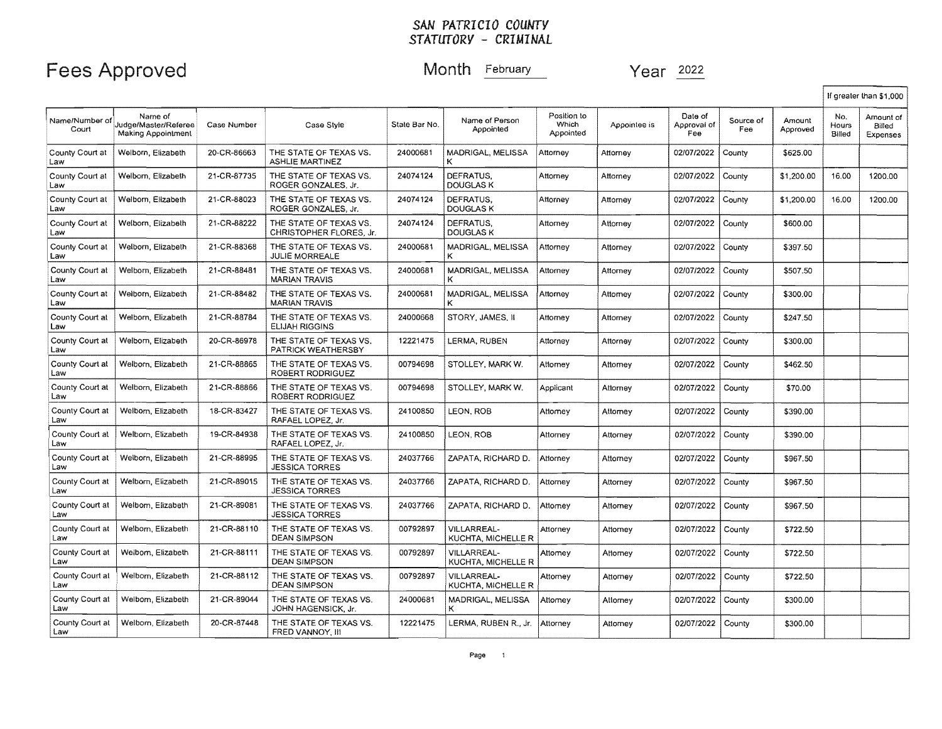|                         |                                                              |             |                                                   |               |                                          |                                   |              |                               |                  |                    |                        | If greater than \$1,000         |
|-------------------------|--------------------------------------------------------------|-------------|---------------------------------------------------|---------------|------------------------------------------|-----------------------------------|--------------|-------------------------------|------------------|--------------------|------------------------|---------------------------------|
| Name/Number of<br>Court | Name of<br>Judge/Master/Referee<br><b>Making Appointment</b> | Case Number | Case Style                                        | State Bar No. | Name of Person<br>Appointed              | Position to<br>Which<br>Appointed | Appointee is | Date of<br>Approval of<br>Fee | Source of<br>Fee | Amount<br>Approved | No.<br>Hours<br>Billed | Amount of<br>Billed<br>Expenses |
| County Court at<br>Law  | Welborn, Elizabeth                                           | 20-CR-86663 | THE STATE OF TEXAS VS.<br><b>ASHLIE MARTINEZ</b>  | 24000681      | MADRIGAL, MELISSA<br>ĸ                   | Attorney                          | Attorney     | 02/07/2022                    | County           | \$625.00           |                        |                                 |
| County Court at<br>Law  | Welborn, Elizabeth                                           | 21-CR-87735 | THE STATE OF TEXAS VS.<br>ROGER GONZALES, Jr.     | 24074124      | DEFRATUS.<br><b>DOUGLAS K</b>            | Attorney                          | Attorney     | 02/07/2022                    | County           | \$1,200.00         | 16.00                  | 1200.00                         |
| County Court at<br>Law  | Welborn, Elizabeth                                           | 21-CR-88023 | THE STATE OF TEXAS VS.<br>ROGER GONZALES. Jr.     | 24074124      | DEFRATUS.<br><b>DOUGLAS K</b>            | Attorney                          | Attorney     | 02/07/2022                    | County           | \$1,200.00         | 16.00                  | 1200.00                         |
| County Court at<br>Law  | Welborn, Elizabeth                                           | 21-CR-88222 | THE STATE OF TEXAS VS.<br>CHRISTOPHER FLORES, Jr. | 24074124      | DEFRATUS.<br><b>DOUGLAS K</b>            | Attorney                          | Attorney     | 02/07/2022                    | County           | \$600.00           |                        |                                 |
| County Court at<br>Law  | Welborn, Elizabeth                                           | 21-CR-88368 | THE STATE OF TEXAS VS.<br><b>JULIE MORREALE</b>   | 24000681      | MADRIGAL, MELISSA<br>κ                   | Attorney                          | Attorney     | 02/07/2022                    | County           | \$397.50           |                        |                                 |
| County Court at<br>Law  | Welborn, Elizabeth                                           | 21-CR-88481 | THE STATE OF TEXAS VS.<br><b>MARIAN TRAVIS</b>    | 24000681      | MADRIGAL, MELISSA<br>κ                   | Attorney                          | Attorney     | 02/07/2022                    | County           | \$507.50           |                        |                                 |
| County Court at<br>Law  | Welborn, Elizabeth                                           | 21-CR-88482 | THE STATE OF TEXAS VS.<br><b>MARIAN TRAVIS</b>    | 24000681      | MADRIGAL, MELISSA                        | Attorney                          | Attorney     | 02/07/2022                    | County           | \$300.00           |                        |                                 |
| County Court at<br>Law  | Welborn, Elizabeth                                           | 21-CR-88784 | THE STATE OF TEXAS VS.<br><b>ELIJAH RIGGINS</b>   | 24000668      | STORY, JAMES, II                         | Attorney                          | Attorney     | 02/07/2022                    | County           | \$247.50           |                        |                                 |
| County Court at<br>Law  | Welborn, Elizabeth                                           | 20-CR-86978 | THE STATE OF TEXAS VS.<br>PATRICK WEATHERSBY      | 12221475      | LERMA, RUBEN                             | Attorney                          | Attorney     | 02/07/2022                    | County           | \$300.00           |                        |                                 |
| County Court at<br>Law  | Welborn, Elizabeth                                           | 21-CR-88865 | THE STATE OF TEXAS VS.<br>ROBERT RODRIGUEZ        | 00794698      | STOLLEY, MARK W.                         | Attomey                           | Attorney     | 02/07/2022                    | County           | \$462.50           |                        |                                 |
| County Court at<br>Law  | Welborn, Elizabeth                                           | 21-CR-88866 | THE STATE OF TEXAS VS.<br>ROBERT RODRIGUEZ        | 00794698      | STOLLEY, MARK W.                         | Applicant                         | Attorney     | 02/07/2022                    | County           | \$70.00            |                        |                                 |
| County Court at<br>Law  | Welborn, Elizabeth                                           | 18-CR-83427 | THE STATE OF TEXAS VS.<br>RAFAEL LOPEZ, Jr.       | 24100850      | LEON, ROB                                | Attomey                           | Attorney     | 02/07/2022                    | County           | \$390.00           |                        |                                 |
| County Court at<br>Law  | Welborn, Elizabeth                                           | 19-CR-84938 | THE STATE OF TEXAS VS.<br>RAFAEL LOPEZ. Jr.       | 24100850      | LEON, ROB                                | Attorney                          | Attorney     | 02/07/2022                    | County           | \$390.00           |                        |                                 |
| County Court at<br>Law  | Welborn, Elizabeth                                           | 21-CR-88995 | THE STATE OF TEXAS VS.<br><b>JESSICA TORRES</b>   | 24037766      | ZAPATA, RICHARD D.                       | Attorney                          | Attorney     | 02/07/2022                    | County           | \$967.50           |                        |                                 |
| County Court at<br>Law  | Welborn, Elizabeth                                           | 21-CR-89015 | THE STATE OF TEXAS VS.<br><b>JESSICA TORRES</b>   | 24037766      | ZAPATA, RICHARD D.                       | Attorney                          | Attorney     | 02/07/2022                    | County           | \$967.50           |                        |                                 |
| County Court at<br>Law  | Welborn, Elizabeth                                           | 21-CR-89081 | THE STATE OF TEXAS VS.<br><b>JESSICA TORRES</b>   | 24037766      | ZAPATA, RICHARD D.                       | Attorney                          | Attorney     | 02/07/2022                    | County           | \$967.50           |                        |                                 |
| County Court at<br>Law  | Welbom, Elizabeth                                            | 21-CR-88110 | THE STATE OF TEXAS VS.<br><b>DEAN SIMPSON</b>     | 00792897      | VILLARREAL-<br>KUCHTA, MICHELLE R        | Attorney                          | Attorney     | 02/07/2022                    | County           | \$722.50           |                        |                                 |
| County Court at<br>Law  | Welbom, Elizabeth                                            | 21-CR-88111 | THE STATE OF TEXAS VS.<br><b>DEAN SIMPSON</b>     | 00792897      | VILLARREAL-<br>KUCHTA, MICHELLE R        | Attomev                           | Attomey      | 02/07/2022                    | County           | \$722.50           |                        |                                 |
| County Court at<br>Law  | Welborn, Elizabeth                                           | 21-CR-88112 | THE STATE OF TEXAS VS.<br><b>DEAN SIMPSON</b>     | 00792897      | <b>VILLARREAL-</b><br>KUCHTA, MICHELLE R | Attorney                          | Attomey      | 02/07/2022                    | County           | \$722.50           |                        |                                 |
| County Court at<br>Law  | Welborn, Elizabeth                                           | 21-CR-89044 | THE STATE OF TEXAS VS.<br>JOHN HAGENSICK, Jr.     | 24000681      | MADRIGAL, MELISSA<br>ĸ                   | Attomey                           | Attorney     | 02/07/2022                    | County           | \$300.00           |                        |                                 |
| County Court at<br>Law  | Welborn, Elizabeth                                           | 20-CR-87448 | THE STATE OF TEXAS VS.<br>FRED VANNOY, III        | 12221475      | LERMA, RUBEN R., Jr.                     | Attorney                          | Attorney     | 02/07/2022                    | County           | \$300.00           |                        |                                 |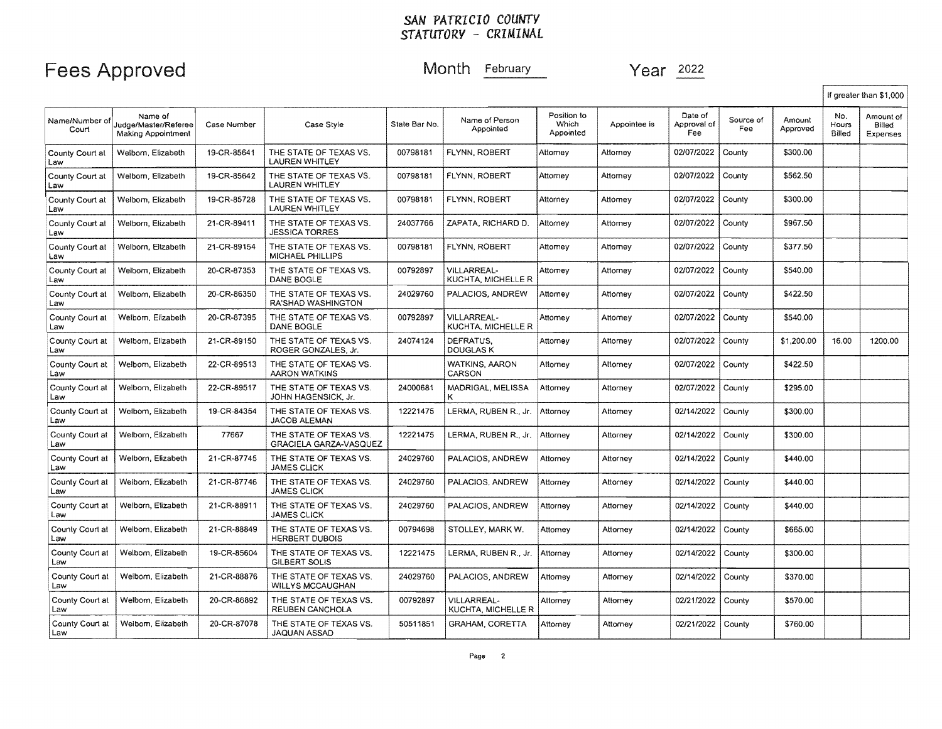|                         |                                                       |             |                                                         |               |                                   |                                   |              |                               |                  |                    |                        | If greater than \$1,000         |
|-------------------------|-------------------------------------------------------|-------------|---------------------------------------------------------|---------------|-----------------------------------|-----------------------------------|--------------|-------------------------------|------------------|--------------------|------------------------|---------------------------------|
| Name/Number of<br>Court | Name of<br>Judge/Master/Referee<br>Making Appointment | Case Number | Case Style                                              | State Bar No. | Name of Person<br>Appointed       | Position to<br>Which<br>Appointed | Appointee is | Date of<br>Approval of<br>Fee | Source of<br>Fee | Amount<br>Approved | No.<br>Hours<br>Billed | Amount of<br>Billed<br>Expenses |
| County Court at<br>Law  | Welborn, Elizabeth                                    | 19-CR-85641 | THE STATE OF TEXAS VS.<br>LAUREN WHITLEY                | 00798181      | FLYNN, ROBERT                     | Attorney                          | Attorney     | 02/07/2022                    | County           | \$300.00           |                        |                                 |
| County Court at<br>Law  | Welborn, Elizabeth                                    | 19-CR-85642 | THE STATE OF TEXAS VS.<br>LAUREN WHITLEY                | 00798181      | FLYNN, ROBERT                     | Attorney                          | Attomey      | 02/07/2022                    | County           | \$562.50           |                        |                                 |
| County Court at<br>Law  | Welborn, Elizabeth                                    | 19-CR-85728 | THE STATE OF TEXAS VS.<br>LAUREN WHITLEY                | 00798181      | FLYNN, ROBERT                     | Attornev                          | Attorney     | 02/07/2022                    | County           | \$300.00           |                        |                                 |
| County Court at<br>Law  | Welborn, Elizabeth                                    | 21-CR-89411 | THE STATE OF TEXAS VS.<br><b>JESSICA TORRES</b>         | 24037766      | ZAPATA, RICHARD D.                | Attorney                          | Attorney     | 02/07/2022                    | County           | \$967.50           |                        |                                 |
| County Court at<br>Law  | Welborn, Elizabeth                                    | 21-CR-89154 | THE STATE OF TEXAS VS.<br>MICHAEL PHILLIPS              | 00798181      | FLYNN, ROBERT                     | Attorney                          | Attorney     | 02/07/2022                    | County           | \$377.50           |                        |                                 |
| County Court at<br>Law  | Welborn, Elizabeth                                    | 20-CR-87353 | THE STATE OF TEXAS VS.<br>DANE BOGLE                    | 00792897      | VILLARREAL-<br>KUCHTA, MICHELLE R | Attorney                          | Attorney     | 02/07/2022                    | County           | \$540.00           |                        |                                 |
| County Court at<br>Law  | Welbom, Elizabeth                                     | 20-CR-86350 | THE STATE OF TEXAS VS.<br>RA'SHAD WASHINGTON            | 24029760      | PALACIOS, ANDREW                  | Attomey                           | Attomey      | 02/07/2022                    | County           | \$422.50           |                        |                                 |
| County Court at<br>Law  | Welborn, Elizabeth                                    | 20-CR-87395 | THE STATE OF TEXAS VS.<br>DANE BOGLE                    | 00792897      | VILLARREAL-<br>KUCHTA, MICHELLE R | Attorney                          | Attorney     | 02/07/2022                    | County           | \$540.00           |                        |                                 |
| County Court at<br>Law  | Welborn, Elizabeth                                    | 21-CR-89150 | THE STATE OF TEXAS VS.<br>ROGER GONZALES, Jr.           | 24074124      | DEFRATUS.<br>DOUGLAS K            | Attorney                          | Attorney     | 02/07/2022                    | County           | \$1,200.00         | 16.00                  | 1200.00                         |
| County Court at<br>Law  | Welborn, Elizabeth                                    | 22-CR-89513 | THE STATE OF TEXAS VS.<br><b>AARON WATKINS</b>          |               | WATKINS, AARON<br>CARSON          | Attomey                           | Attorney     | 02/07/2022                    | County           | \$422.50           |                        |                                 |
| County Court at<br>Law  | Welborn, Elizabeth                                    | 22-CR-89517 | THE STATE OF TEXAS VS.<br>JOHN HAGENSICK, Jr.           | 24000681      | MADRIGAL, MELISSA<br>κ            | Attorney                          | Attorney     | 02/07/2022                    | County           | \$295.00           |                        |                                 |
| County Court at<br>Law  | Welborn, Elizabeth                                    | 19-CR-84354 | THE STATE OF TEXAS VS.<br>JACOB ALEMAN                  | 12221475      | LERMA, RUBEN R., Jr.              | Attorney                          | Attorney     | 02/14/2022                    | County           | \$300.00           |                        |                                 |
| County Court at<br>Law  | Welborn, Elizabeth                                    | 77667       | THE STATE OF TEXAS VS.<br><b>GRACIELA GARZA-VASQUEZ</b> | 12221475      | LERMA, RUBEN R., Jr.              | Attorney                          | Attorney     | 02/14/2022                    | County           | \$300.00           |                        |                                 |
| County Court at<br>Law  | Welborn, Elizabeth                                    | 21-CR-87745 | THE STATE OF TEXAS VS.<br><b>JAMES CLICK</b>            | 24029760      | PALACIOS, ANDREW                  | Attorney                          | Attorney     | 02/14/2022                    | County           | \$440.00           |                        |                                 |
| County Court at<br>Law  | Welbom, Elizabeth                                     | 21-CR-87746 | THE STATE OF TEXAS VS.<br><b>JAMES CLICK</b>            | 24029760      | PALACIOS, ANDREW                  | Attorney                          | Attomey      | 02/14/2022                    | County           | \$440.00           |                        |                                 |
| County Court at<br>Law  | Welborn, Elizabeth                                    | 21-CR-88911 | THE STATE OF TEXAS VS.<br><b>JAMES CLICK</b>            | 24029760      | PALACIOS, ANDREW                  | Attorney                          | Attornev     | 02/14/2022                    | County           | \$440.00           |                        |                                 |
| County Court at<br>Law  | Welborn, Elizabeth                                    | 21-CR-88849 | THE STATE OF TEXAS VS.<br><b>HERBERT DUBOIS</b>         | 00794698      | STOLLEY, MARK W.                  | Attorney                          | Attornev     | 02/14/2022                    | County           | \$665.00           |                        |                                 |
| County Court at<br>Law  | Welborn, Elizabeth                                    | 19-CR-85604 | THE STATE OF TEXAS VS.<br>GILBERT SOLIS                 | 12221475      | LERMA, RUBEN R., Jr.              | Attorney                          | Attomey      | 02/14/2022                    | County           | \$300.00           |                        |                                 |
| County Court at<br>Law  | Welborn, Elizabeth                                    | 21-CR-88876 | THE STATE OF TEXAS VS.<br><b>WILLYS MCCAUGHAN</b>       | 24029760      | PALACIOS, ANDREW                  | Attorney                          | Attorney     | 02/14/2022                    | County           | \$370.00           |                        |                                 |
| County Court at<br>Law  | Welborn, Elizabeth                                    | 20-CR-86892 | THE STATE OF TEXAS VS.<br>REUBEN CANCHOLA               | 00792897      | VILLARREAL-<br>KUCHTA, MICHELLE R | Attorney                          | Attorney     | 02/21/2022                    | County           | \$570.00           |                        |                                 |
| County Court at<br>Law  | Welborn, Elizabeth                                    | 20-CR-87078 | THE STATE OF TEXAS VS.<br>JAQUAN ASSAD                  | 50511851      | <b>GRAHAM, CORETTA</b>            | Attorney                          | Attorney     | 02/21/2022                    | County           | \$760.00           |                        |                                 |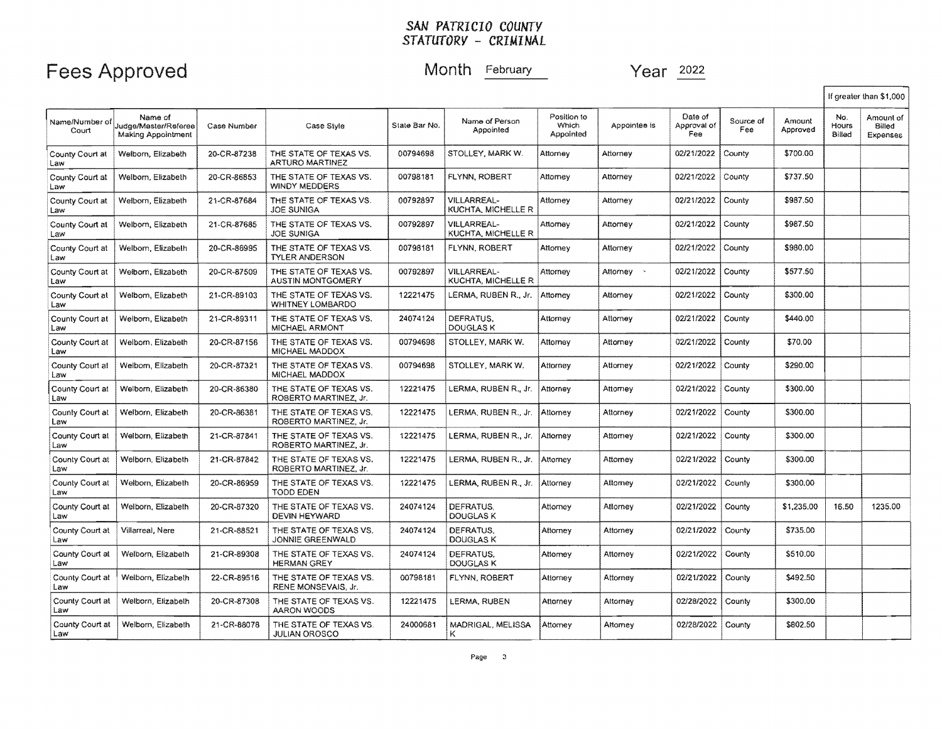# Fees Approved Month February Month Person Month Person Month Person Near 2022

|                         |                                                              |             |                                                   |               |                                                 |                                          |              |                               |                  |                    |                        | If greater than \$1,000         |
|-------------------------|--------------------------------------------------------------|-------------|---------------------------------------------------|---------------|-------------------------------------------------|------------------------------------------|--------------|-------------------------------|------------------|--------------------|------------------------|---------------------------------|
| Name/Number of<br>Court | Name of<br>Judge/Master/Referee<br><b>Making Appointment</b> | Case Number | Case Style                                        | State Bar No. | Name of Person<br>Appointed                     | Position to<br><b>Which</b><br>Appointed | Appointee is | Date of<br>Approval of<br>Fee | Source of<br>Fee | Amount<br>Approved | No.<br>Hours<br>Billed | Amount of<br>Billed<br>Expenses |
| County Court at<br>Law  | Welborn, Elizabeth                                           | 20-CR-87238 | THE STATE OF TEXAS VS.<br>ARTURO MARTINEZ         | 00794698      | STOLLEY, MARK W.                                | Attorney                                 | Attorney     | 02/21/2022                    | County           | \$700.00           |                        |                                 |
| County Court at<br>Law  | Welborn, Elizabeth                                           | 20-CR-86853 | THE STATE OF TEXAS VS.<br><b>WINDY MEDDERS</b>    | 00798181      | FLYNN, ROBERT                                   | Attorney                                 | Attorney     | 02/21/2022                    | County           | \$737.50           |                        |                                 |
| County Court at<br>Law  | Welborn, Elizabeth                                           | 21-CR-87684 | THE STATE OF TEXAS VS.<br><b>JOE SUNIGA</b>       | 00792897      | <b>VILLARREAL-</b><br>KUCHTA, MICHELLE R        | Attorney                                 | Attorney     | 02/21/2022                    | County           | \$987.50           |                        |                                 |
| County Court at<br>Law  | Welborn, Elizabeth                                           | 21-CR-87685 | THE STATE OF TEXAS VS.<br><b>JOE SUNIGA</b>       | 00792897      | <b>VILLARREAL-</b><br><b>KUCHTA, MICHELLE R</b> | Attorney                                 | Attornev     | 02/21/2022                    | County           | \$987.50           |                        |                                 |
| County Court at<br>Law  | Welborn, Elizabeth                                           | 20-CR-86995 | THE STATE OF TEXAS VS.<br><b>TYLER ANDERSON</b>   | 00798181      | FLYNN, ROBERT                                   | Attorney                                 | Atlorney     | 02/21/2022                    | County           | \$980.00           |                        |                                 |
| County Court at<br>Law  | Welborn, Elizabeth                                           | 20-CR-87509 | THE STATE OF TEXAS VS.<br>AUSTIN MONTGOMERY       | 00792897      | VILLARREAL-<br>KUCHTA, MICHELLE R               | Attorney                                 | Attorney >   | 02/21/2022                    | County           | \$577.50           |                        |                                 |
| County Court at<br>Law  | Welborn, Elizabeth                                           | 21-CR-89103 | THE STATE OF TEXAS VS.<br><b>WHITNEY LOMBARDO</b> | 12221475      | LERMA, RUBEN R., Jr.                            | Attorney                                 | Attorney     | 02/21/2022                    | County           | \$300.00           |                        |                                 |
| County Court at<br>Law  | Welborn, Elizabeth                                           | 21-CR-89311 | THE STATE OF TEXAS VS.<br>MICHAEL ARMONT          | 24074124      | DEFRATUS.<br><b>DOUGLAS K</b>                   | Attorney                                 | Attorney     | 02/21/2022                    | County           | \$440.00           |                        |                                 |
| County Court at<br>Law  | Welborn, Elizabeth                                           | 20-CR-87156 | THE STATE OF TEXAS VS.<br>MICHAEL MADDOX          | 00794698      | STOLLEY, MARK W.                                | Attorney                                 | Attorney     | 02/21/2022                    | County           | \$70.00            |                        |                                 |
| County Court at<br>Law  | Welborn, Elizabeth                                           | 20-CR-87321 | THE STATE OF TEXAS VS.<br>MICHAEL MADDOX          | 00794698      | STOLLEY, MARK W.                                | Attorney                                 | Attornev     | 02/21/2022                    | County           | \$290.00           |                        |                                 |
| County Court at<br>Law  | Welborn, Elizabeth                                           | 20-CR-86380 | THE STATE OF TEXAS VS.<br>ROBERTO MARTINEZ, Jr.   | 12221475      | LERMA, RUBEN R., Jr.                            | Attorney                                 | Attorney     | 02/21/2022                    | County           | \$300.00           |                        |                                 |
| County Court at<br>Law  | Welborn, Elizabeth                                           | 20-CR-86381 | THE STATE OF TEXAS VS.<br>ROBERTO MARTINEZ, Jr.   | 12221475      | LERMA, RUBEN R., Jr.                            | Attorney                                 | Attorney     | 02/21/2022                    | County           | \$300.00           |                        |                                 |
| County Court at<br>Law  | Welborn, Elizabeth                                           | 21-CR-87841 | THE STATE OF TEXAS VS.<br>ROBERTO MARTINEZ, Jr.   | 12221475      | LERMA, RUBEN R., Jr.                            | Attorney                                 | Attorney     | 02/21/2022                    | County           | \$300.00           |                        |                                 |
| County Court at<br>Law  | Welborn, Elizabeth                                           | 21-CR-87842 | THE STATE OF TEXAS VS.<br>ROBERTO MARTINEZ, Jr.   | 12221475      | LERMA, RUBEN R., Jr.                            | Attorney                                 | Attorney     | 02/21/2022                    | County           | \$300.00           |                        |                                 |
| County Court at<br>Law  | Welborn, Elizabeth                                           | 20-CR-86959 | THE STATE OF TEXAS VS.<br><b>TODD EDEN</b>        | 12221475      | LERMA, RUBEN R., Jr.                            | Attorney                                 | Attorney     | 02/21/2022                    | County           | \$300.00           |                        |                                 |
| County Court at<br>Law  | Welborn, Elizabeth                                           | 20-CR-87320 | THE STATE OF TEXAS VS.<br><b>DEVIN HEYWARD</b>    | 24074124      | DEFRATUS.<br><b>DOUGLAS K</b>                   | Attorney                                 | Atlomey      | 02/21/2022                    | County           | \$1,235.00         | 16.50                  | 1235.00                         |
| County Court at<br>Law  | Villarreal, Nere                                             | 21-CR-88521 | THE STATE OF TEXAS VS.<br><b>JONNIE GREENWALD</b> | 24074124      | DEFRATUS.<br>DOUGLAS K                          | Attorney                                 | Attorney     | 02/21/2022                    | County           | \$735.00           |                        |                                 |
| County Court at<br>Law  | Welborn, Elizabeth                                           | 21-CR-89308 | THE STATE OF TEXAS VS.<br><b>HERMAN GREY</b>      | 24074124      | DEFRATUS.<br>DOUGLAS K                          | Attorney                                 | Attorney     | 02/21/2022                    | County           | \$510.00           |                        |                                 |
| County Court at<br>Law  | Welborn, Elizabeth                                           | 22-CR-89516 | THE STATE OF TEXAS VS.<br>RENE MONSEVAIS, Jr.     | 00798181      | FLYNN, ROBERT                                   | Attorney                                 | Attorney     | 02/21/2022                    | County           | \$492.50           |                        |                                 |
| County Court at<br>Law  | Welborn, Elizabeth                                           | 20-CR-87308 | THE STATE OF TEXAS VS.<br>AARON WOODS             | 12221475      | LERMA, RUBEN                                    | Attorney                                 | Attorney     | 02/28/2022                    | County           | \$300.00           |                        |                                 |
| County Court at<br>Law  | Welborn, Elizabeth                                           | 21-CR-88078 | THE STATE OF TEXAS VS.<br><b>JULIAN OROSCO</b>    | 24000681      | MADRIGAL, MELISSA<br>Κ                          | Attorney                                 | Attorney     | 02/28/2022                    | County           | \$802.50           |                        |                                 |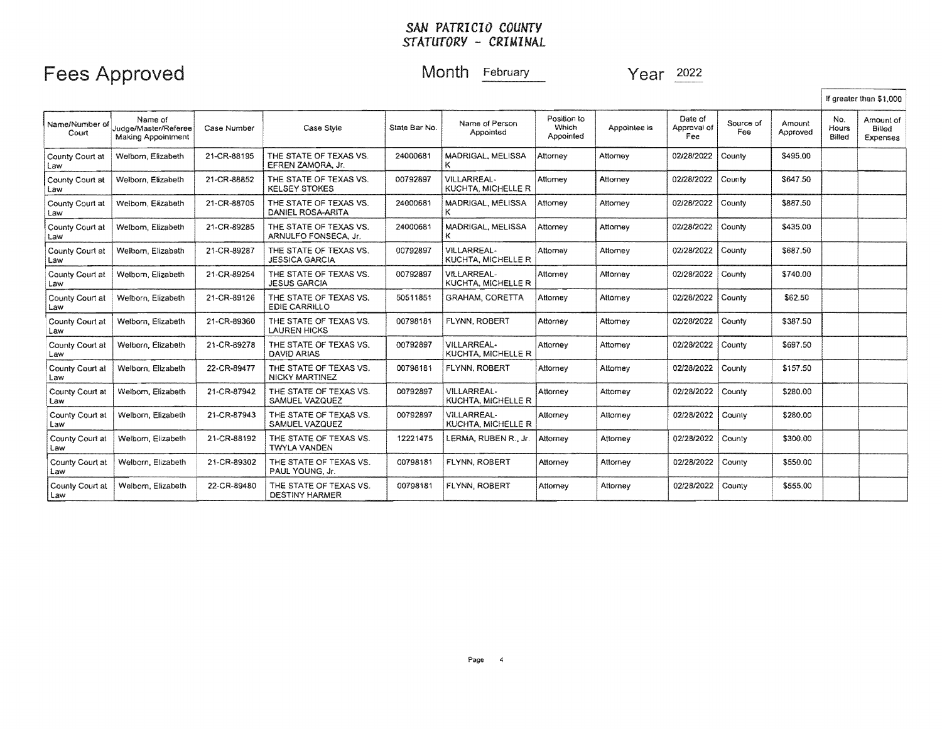|                         |                                                              |             |                                                 |               |                                          |                                   |              |                               |                  |                    |                        | If greater than \$1,000         |
|-------------------------|--------------------------------------------------------------|-------------|-------------------------------------------------|---------------|------------------------------------------|-----------------------------------|--------------|-------------------------------|------------------|--------------------|------------------------|---------------------------------|
| Name/Number of<br>Court | Name of<br>Judge/Master/Referee<br><b>Making Appointment</b> | Case Number | Case Style                                      | State Bar No. | Name of Person<br>Appointed              | Position to<br>Which<br>Appointed | Appointee is | Date of<br>Approval of<br>Fee | Source of<br>Fee | Amount<br>Approved | No.<br>Hours<br>Billed | Amount of<br>Billed<br>Expenses |
| County Court at<br>Law  | Welborn, Elizabeth                                           | 21-CR-88195 | THE STATE OF TEXAS VS.<br>EFREN ZAMORA, Jr.     | 24000681      | MADRIGAL, MELISSA                        | Attorney                          | Attorney     | 02/28/2022                    | County           | \$495.00           |                        |                                 |
| County Court at<br>Law  | Welborn, Elizabeth                                           | 21-CR-88852 | THE STATE OF TEXAS VS.<br><b>KELSEY STOKES</b>  | 00792897      | VILLARREAL-<br>KUCHTA, MICHELLE R        | Attorney                          | Attorney     | 02/28/2022                    | County           | \$647.50           |                        |                                 |
| County Court at<br>Law  | Welborn, Elizabeth                                           | 21-CR-88705 | THE STATE OF TEXAS VS.<br>DANIEL ROSA-ARITA     | 24000681      | MADRIGAL, MELISSA                        | Attorney                          | Attorney     | 02/28/2022                    | County           | \$887,50           |                        |                                 |
| County Court at<br>Law  | Welborn, Elizabeth                                           | 21-CR-89285 | THE STATE OF TEXAS VS.<br>ARNULFO FONSECA, Jr.  | 24000681      | MADRIGAL, MELISSA                        | Attomey                           | Attomey      | 02/28/2022                    | County           | \$435.00           |                        |                                 |
| County Court at<br>Law  | Welborn, Elizabath                                           | 21-CR-89287 | THE STATE OF TEXAS VS.<br><b>JESSICA GARCIA</b> | 00792897      | VILLARRFAL-<br>KUCHTA, MICHELLE R        | Attorney                          | Attorney     | 02/28/2022                    | County           | \$687.50           |                        |                                 |
| County Court at<br>Law  | Welborn, Elizabeth                                           | 21-CR-89254 | THE STATE OF TEXAS VS.<br><b>JESUS GARCIA</b>   | 00792897      | VILLARREAL-<br><b>KUCHTA, MICHELLE R</b> | Attorney                          | Attorney     | 02/28/2022                    | County           | \$740.00           |                        |                                 |
| County Court at<br>Law  | Welborn, Elizabeth                                           | 21-CR-89126 | THE STATE OF TEXAS VS.<br><b>EDIE CARRILLO</b>  | 50511851      | <b>GRAHAM, CORETTA</b>                   | Attorney                          | Attorney     | 02/28/2022                    | County           | \$62.50            |                        |                                 |
| County Court at<br>Law  | Welbom, Elizabeth                                            | 21-CR-89360 | THE STATE OF TEXAS VS.<br><b>LAUREN HICKS</b>   | 00798181      | <b>FLYNN, ROBERT</b>                     | Attorney                          | Attomey      | 02/28/2022                    | County           | \$387.50           |                        |                                 |
| County Court at<br>Law  | Welborn, Elizabeth                                           | 21-CR-89278 | THE STATE OF TEXAS VS.<br>DAVID ARIAS           | 00792897      | VILLARREAL-<br>KUCHTA, MICHELLE R        | Attorney                          | Attomey      | 02/28/2022                    | County           | \$697.50           |                        |                                 |
| County Court at<br>Law  | Welborn, Elizabeth                                           | 22-CR-89477 | THE STATE OF TEXAS VS.<br><b>NICKY MARTINEZ</b> | 00798181      | FLYNN, ROBERT                            | Attorney                          | Attorney     | 02/28/2022                    | County           | \$157.50           |                        |                                 |
| County Court at<br>Law  | Welborn, Elizabeth                                           | 21-CR-87942 | THE STATE OF TEXAS VS.<br>SAMUEL VAZQUEZ        | 00792897      | <b>VILLARREAL-</b><br>KUCHTA, MICHELLE R | Attorney                          | Attorney     | 02/28/2022                    | County           | \$280.00           |                        |                                 |
| County Court at<br>Law  | Welborn, Elizabeth                                           | 21-CR-87943 | THE STATE OF TEXAS VS.<br>SAMUEL VAZQUEZ        | 00792897      | VILLARREAL-<br>KUCHTA, MICHELLE R        | Attorney                          | Attorney     | 02/28/2022                    | County           | \$280.00           |                        |                                 |
| County Court at<br>Law  | Welborn, Elizabeth                                           | 21-CR-88192 | THE STATE OF TEXAS VS.<br><b>TWYLA VANDEN</b>   | 12221475      | LERMA, RUBEN R., Jr.                     | Attorney                          | Attorney     | 02/28/2022                    | County           | \$300.00           |                        |                                 |
| County Court at<br>Law  | Welborn, Elizabeth                                           | 21-CR-89302 | THE STATE OF TEXAS VS.<br>PAUL YOUNG, Jr.       | 00798181      | FLYNN, ROBERT                            | <b>Attorney</b>                   | Attorney     | 02/28/2022                    | County           | \$550.00           |                        |                                 |
| County Court at<br>Law  | Welborn, Elizabeth                                           | 22-CR-89480 | THE STATE OF TEXAS VS.<br><b>DESTINY HARMER</b> | 00798181      | <b>FLYNN, ROBERT</b>                     | Attorney                          | Attorney     | 02/28/2022                    | County           | \$555.00           |                        |                                 |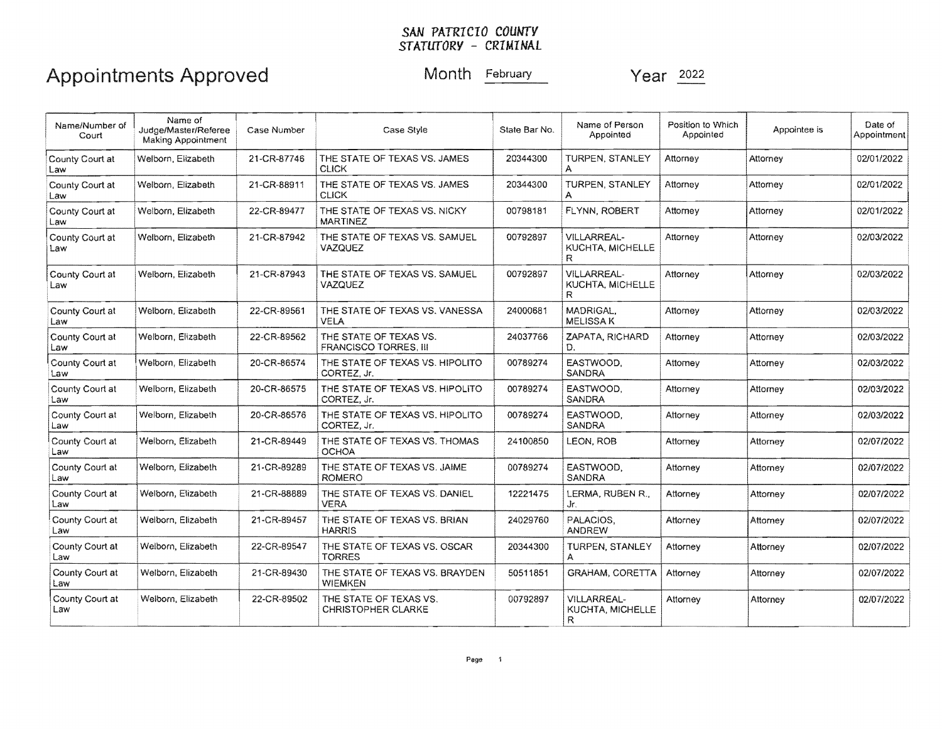### *SAN* FA*TRI CIO* couwrv *STATUTORV* - *CRIMINAL*

# Appointments Approved Month February Year 2022

| Name/Number of<br>Court | Name of<br>Judge/Master/Referee<br>Making Appointment | Case Number | Case Style                                                                          | State Bar No.                                                | Name of Person<br>Appointed                 | Position to Which<br>Appointed | Appointee is | Date of<br>Appointment |
|-------------------------|-------------------------------------------------------|-------------|-------------------------------------------------------------------------------------|--------------------------------------------------------------|---------------------------------------------|--------------------------------|--------------|------------------------|
| County Court at<br>Law  | Welborn, Elizabeth                                    | 21-CR-87746 | THE STATE OF TEXAS VS. JAMES<br><b>CLICK</b>                                        | 20344300                                                     | TURPEN, STANLEY                             | Attorney                       | Attorney     | 02/01/2022             |
| County Court at<br>Law  | Welborn, Elizabeth                                    | 21-CR-88911 | THE STATE OF TEXAS VS. JAMES<br><b>CLICK</b>                                        | 20344300                                                     | TURPEN. STANLEY                             | Attorney                       | Attorney     | 02/01/2022             |
| County Court at<br>Law  | Welborn, Elizabeth                                    | 22-CR-89477 | THE STATE OF TEXAS VS. NICKY<br>MARTINEZ                                            | 00798181                                                     | FLYNN, ROBERT<br>Attorney                   |                                | Attorney     | 02/01/2022             |
| County Court at<br>Law  | Welborn, Elizabeth                                    | 21-CR-87942 | THE STATE OF TEXAS VS. SAMUEL<br>VAZQUEZ                                            | 00792897                                                     | VILLARREAL-<br><b>KUCHTA, MICHELLE</b><br>R | Attorney                       | Attorney     | 02/03/2022             |
| County Court at<br>Law  | Welborn, Elizabeth                                    | 21-CR-87943 | THE STATE OF TEXAS VS. SAMUEL<br><b>VAZQUEZ</b>                                     | 00792897<br>VILLARREAL-<br>Attorney<br>KUCHTA, MICHELLE<br>R |                                             | Attorney                       | 02/03/2022   |                        |
| County Court at<br>Law  | Welborn, Elizabeth                                    | 22-CR-89561 | MADRIGAL,<br>24000681<br>THE STATE OF TEXAS VS. VANESSA<br>MELISSA K<br><b>VELA</b> |                                                              | Attorney                                    | Attorney                       | 02/03/2022   |                        |
| County Court at<br>Law  | Welborn, Elizabeth                                    | 22-CR-89562 | THE STATE OF TEXAS VS.<br><b>FRANCISCO TORRES, III</b>                              | 24037766                                                     | ZAPATA, RICHARD<br>D.                       | Attorney                       | Attorney     | 02/03/2022             |
| County Court at<br>Law  | Welborn, Elizabeth                                    | 20-CR-86574 | THE STATE OF TEXAS VS. HIPOLITO<br>CORTEZ, Jr.                                      | 00789274                                                     | EASTWOOD.<br>SANDRA                         | Attorney                       | Attorney     | 02/03/2022             |
| County Court at<br>Law  | Welborn, Elizabeth                                    | 20-CR-86575 | THE STATE OF TEXAS VS. HIPOLITO<br>CORTEZ, Jr.                                      | 00789274                                                     | EASTWOOD,<br><b>SANDRA</b>                  | Attorney                       | Attorney     | 02/03/2022             |
| County Court at<br>Law  | Welborn, Elizabeth                                    | 20-CR-86576 | THE STATE OF TEXAS VS. HIPOLITO<br>CORTEZ, Jr.                                      | 00789274                                                     | EASTWOOD.<br><b>SANDRA</b>                  | Attorney                       | Attorney     | 02/03/2022             |
| County Court at<br>Law  | Welborn, Elizabeth                                    | 21-CR-89449 | THE STATE OF TEXAS VS. THOMAS<br><b>OCHOA</b>                                       | 24100850                                                     | LEON, ROB                                   | Attomey                        | Attorney     | 02/07/2022             |
| County Court at<br>Law  | Welborn, Elizabeth                                    | 21-CR-89289 | THE STATE OF TEXAS VS. JAIME<br><b>ROMERO</b>                                       | 00789274                                                     | EASTWOOD.<br><b>SANDRA</b>                  | Attornev                       | Attorney     | 02/07/2022             |
| County Court at<br>Law  | Welborn, Elizabeth                                    | 21-CR-88889 | THE STATE OF TEXAS VS. DANIEL<br><b>VERA</b>                                        | 12221475                                                     | LERMA. RUBEN R<br>Jr.                       | Attorney                       | Attorney     | 02/07/2022             |
| County Court at<br>Law  | Welborn, Elizabeth                                    | 21-CR-89457 | THE STATE OF TEXAS VS. BRIAN<br><b>HARRIS</b>                                       | 24029760                                                     | PALACIOS,<br><b>ANDREW</b>                  | Attorney                       | Attorney     | 02/07/2022             |
| County Court at<br>Law  | Welborn, Elizabeth                                    | 22-CR-89547 | THE STATE OF TEXAS VS. OSCAR<br><b>TORRES</b>                                       | 20344300                                                     | TURPEN, STANLEY                             | Attorney                       | Attornev     | 02/07/2022             |
| County Court at<br>Law  | Welborn, Elizabeth                                    | 21-CR-89430 | THE STATE OF TEXAS VS. BRAYDEN<br><b>WIEMKEN</b>                                    | 50511851                                                     | <b>GRAHAM, CORETTA</b>                      | Attorney                       | Attorney     | 02/07/2022             |
| County Court at<br>Law  | Welborn, Elizabeth                                    | 22-CR-89502 | THE STATE OF TEXAS VS.<br><b>CHRISTOPHER CLARKE</b>                                 | 00792897                                                     | <b>VILLARREAL-</b><br>KUCHTA, MICHELLE<br>R | Attorney                       | Attorney     | 02/07/2022             |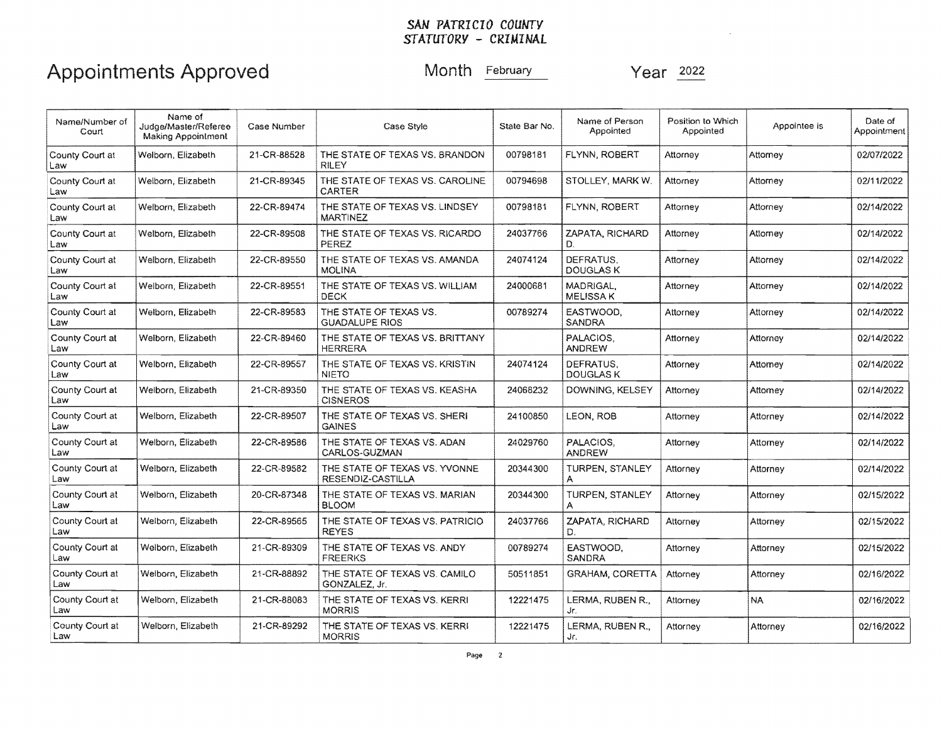# Appointments Approved Month February Month Year 2022

| Name/Number of<br>Court | Name of<br>Judge/Master/Referee<br><b>Making Appointment</b> | Case Style<br>State Bar No.<br>Case Number |                                                    | Name of Person<br>Appointed | Position to Which<br>Appointed | Appointee is | Date of<br>Appointment |            |
|-------------------------|--------------------------------------------------------------|--------------------------------------------|----------------------------------------------------|-----------------------------|--------------------------------|--------------|------------------------|------------|
| County Court at<br>Law  | Welborn, Elizabeth                                           | 21-CR-88528                                | THE STATE OF TEXAS VS. BRANDON<br><b>RILEY</b>     | 00798181                    | FLYNN, ROBERT                  | Attorney     | Attomey                | 02/07/2022 |
| County Court at<br>Law  | Welborn, Elizabeth                                           | 21-CR-89345                                | THE STATE OF TEXAS VS. CAROLINE<br>CARTER          | 00794698                    | STOLLEY, MARK W.               | Attorney     | Attorney               | 02/11/2022 |
| County Court at<br>Law  | Welborn, Elizabeth                                           | 22-CR-89474                                | THE STATE OF TEXAS VS. LINDSEY<br><b>MARTINEZ</b>  | 00798181                    | FLYNN, ROBERT                  | Attorney     | Attorney               | 02/14/2022 |
| County Court at<br>Law  | Welborn, Elizabeth                                           | 22-CR-89508                                | THE STATE OF TEXAS VS. RICARDO<br>PEREZ            | 24037766                    | ZAPATA, RICHARD<br>D.          | Attorney     |                        | 02/14/2022 |
| County Court at<br>Law  | Welborn, Elizabeth                                           | 22-CR-89550                                | THE STATE OF TEXAS VS. AMANDA<br><b>MOLINA</b>     | 24074124                    | DEFRATUS.<br><b>DOUGLASK</b>   | Attorney     | Attorney               | 02/14/2022 |
| County Court at<br>Law  | Welborn, Elizabeth                                           | 22-CR-89551                                | THE STATE OF TEXAS VS, WILLIAM<br><b>DECK</b>      | 24000681                    | MADRIGAL,<br>MELISSA K         | Attorney     | Attorney               | 02/14/2022 |
| County Court at<br>Law  | Welborn, Elizabeth                                           | 22-CR-89583                                | THE STATE OF TEXAS VS.<br><b>GUADALUPE RIOS</b>    | 00789274                    | EASTWOOD.<br>SANDRA            | Attorney     | Attorney               | 02/14/2022 |
| County Court at<br>Law  | Welborn, Elizabeth                                           | 22-CR-89460                                | THE STATE OF TEXAS VS. BRITTANY<br><b>HERRERA</b>  |                             | PALACIOS.<br><b>ANDREW</b>     | Attornev     | Attorney               | 02/14/2022 |
| County Court at<br>Law  | Welborn, Elizabeth                                           | 22-CR-89557                                | THE STATE OF TEXAS VS. KRISTIN<br><b>NIETO</b>     | 24074124                    | DEFRATUS.<br>DOUGLAS K         | Attorney     | Attorney               | 02/14/2022 |
| County Court at<br>Law  | Welborn, Elizabeth                                           | 21-CR-89350                                | THE STATE OF TEXAS VS. KEASHA<br><b>CISNEROS</b>   | 24068232                    | DOWNING, KELSEY                | Attorney     | Attomey                | 02/14/2022 |
| County Court at<br>Law  | Welborn, Elizabeth                                           | 22-CR-89507                                | THE STATE OF TEXAS VS, SHERI<br><b>GAINES</b>      | 24100850                    | LEON. ROB                      | Attorney     | Attorney               | 02/14/2022 |
| County Court at<br>Law  | Welborn, Elizabeth                                           | 22-CR-89586                                | THE STATE OF TEXAS VS. ADAN<br>CARLOS-GUZMAN       | 24029760                    | PALACIOS,<br>ANDREW            | Attorney     | Attomey                | 02/14/2022 |
| County Court at<br>Law  | Welborn, Elizabeth                                           | 22-CR-89582                                | THE STATE OF TEXAS VS. YVONNE<br>RESENDIZ-CASTILLA | 20344300                    | TURPEN, STANLEY                | Attorney     | Attorney               | 02/14/2022 |
| County Court at<br>Law  | Welborn, Elizabeth                                           | 20-CR-87348                                | THE STATE OF TEXAS VS. MARIAN<br><b>BLOOM</b>      | 20344300                    | TURPEN, STANLEY<br>А           | Attorney     | Attorney               | 02/15/2022 |
| County Court at<br>Law  | Welborn, Elizabeth                                           | 22-CR-89565                                | THE STATE OF TEXAS VS. PATRICIO<br><b>REYES</b>    | 24037766                    | ZAPATA, RICHARD<br>D.          | Attorney     | Attorney               | 02/15/2022 |
| County Court at<br>Law  | Welborn, Elizabeth                                           | 21-CR-89309                                | THE STATE OF TEXAS VS. ANDY<br><b>FREERKS</b>      | 00789274                    | EASTWOOD.<br>SANDRA            | Attorney     | Attorney               | 02/15/2022 |
| County Court at<br>Law  | Welborn, Elizabeth                                           | 21-CR-88892                                | THE STATE OF TEXAS VS. CAMILO<br>GONZALEZ, Jr.     | 50511851                    | <b>GRAHAM, CORETTA</b>         | Attorney     | Attorney               | 02/16/2022 |
| County Court at<br>Law  | Welborn, Elizabeth                                           | 21-CR-88083                                | THE STATE OF TEXAS VS. KERRI<br><b>MORRIS</b>      | 12221475                    | LERMA, RUBEN R.,<br>Jr.        | Attorney     | NA.                    | 02/16/2022 |
| County Court at<br>Law  | Welborn, Elizabeth                                           | 21-CR-89292                                | THE STATE OF TEXAS VS. KERRI<br><b>MORRIS</b>      | 12221475                    | LERMA, RUBEN R.,<br>Jr.        | Attorney     | Attorney               | 02/16/2022 |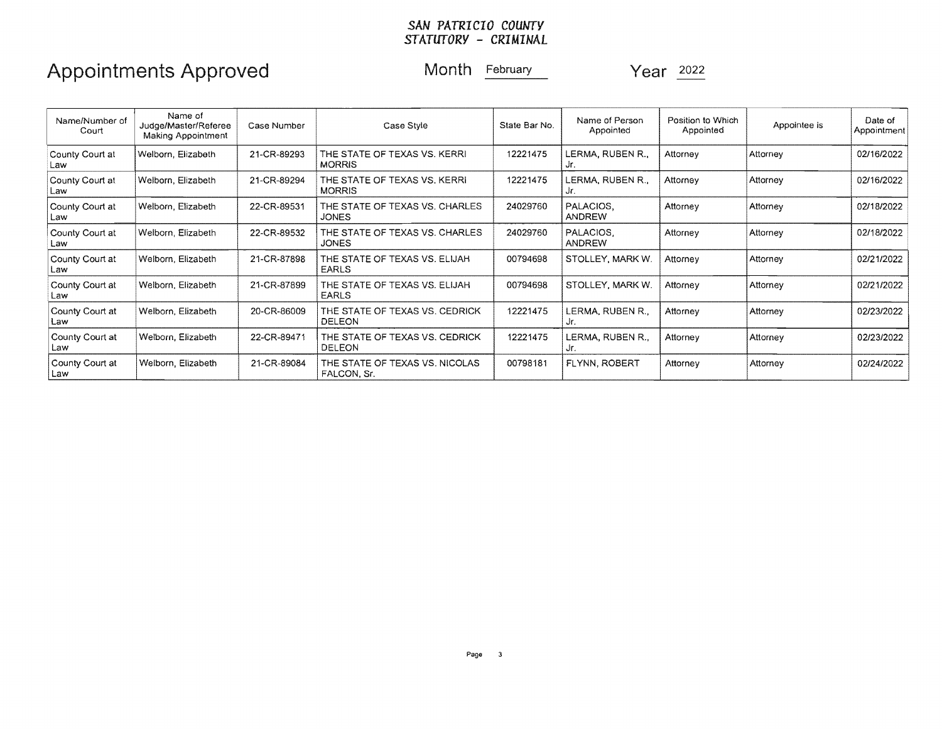# Appointments Approved Month February Year 2022

| Name/Number of<br>Court | Name of<br>Judge/Master/Referee<br>Making Appointment | Case Number | Case Style                                      | State Bar No. | Name of Person<br>Appointed | Position to Which<br>Appointed | Appointee is | Date of<br>Appointment |
|-------------------------|-------------------------------------------------------|-------------|-------------------------------------------------|---------------|-----------------------------|--------------------------------|--------------|------------------------|
| County Court at<br>Law  | Welborn, Elizabeth                                    | 21-CR-89293 | THE STATE OF TEXAS VS. KERRI<br><b>MORRIS</b>   | 12221475      | LERMA, RUBEN R.,            | Attorney                       | Attorney     | 02/16/2022             |
| County Court at<br>Law  | Welborn, Elizabeth                                    | 21-CR-89294 | THE STATE OF TEXAS VS. KERRI<br><b>MORRIS</b>   | 12221475      | LERMA. RUBEN R<br>Jr.       | Attorney                       | Attorney     | 02/16/2022             |
| County Court at<br>Law  | Welborn, Elizabeth                                    | 22-CR-89531 | THE STATE OF TEXAS VS. CHARLES<br><b>JONES</b>  | 24029760      | PALACIOS.<br><b>ANDREW</b>  | Attorney                       | Attorney     | 02/18/2022             |
| County Court at<br>Law  | Welborn, Elizabeth                                    | 22-CR-89532 | THE STATE OF TEXAS VS. CHARLES<br><b>JONES</b>  | 24029760      | PALACIOS.<br>ANDREW         | Attorney                       | Attorney     | 02/18/2022             |
| County Court at<br>Law  | Welborn, Elizabeth                                    | 21-CR-87898 | THE STATE OF TEXAS VS. ELIJAH<br><b>EARLS</b>   | 00794698      | STOLLEY, MARK W.            | Attorney                       | Attorney     | 02/21/2022             |
| County Court at<br>Law  | Welborn, Elizabeth                                    | 21-CR-87899 | THE STATE OF TEXAS VS. ELIJAH<br><b>EARLS</b>   | 00794698      | STOLLEY, MARK W.            | Attorney                       | Attorney     | 02/21/2022             |
| County Court at<br>Law  | Welborn, Elizabeth                                    | 20-CR-86009 | THE STATE OF TEXAS VS. CEDRICK<br><b>DELEON</b> | 12221475      | LERMA, RUBEN R.,<br>Jr.     | Attorney                       | Attorney     | 02/23/2022             |
| County Court at<br>Law  | Welborn, Elizabeth                                    | 22-CR-89471 | THE STATE OF TEXAS VS, CEDRICK<br><b>DELEON</b> | 12221475      | LERMA, RUBEN R.,<br>Jr.     | Attorney                       | Attorney     | 02/23/2022             |
| County Court at<br>Law  | Welborn, Elizabeth                                    | 21-CR-89084 | THE STATE OF TEXAS VS, NICOLAS<br>FALCON, Sr.   | 00798181      | FLYNN, ROBERT               | Attorney                       | Attorney     | 02/24/2022             |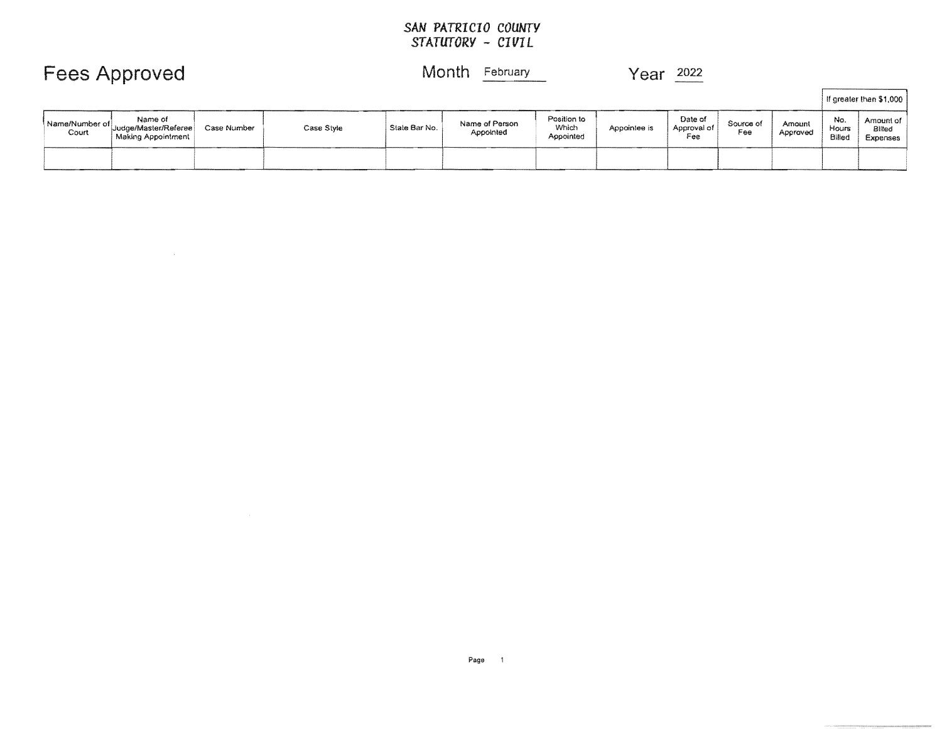|                         | Fees Approved                                         |             |            | Month<br>February |                             |                                   | Year<br>2022 |                               |                  |                    |                        |                                 |
|-------------------------|-------------------------------------------------------|-------------|------------|-------------------|-----------------------------|-----------------------------------|--------------|-------------------------------|------------------|--------------------|------------------------|---------------------------------|
|                         |                                                       |             |            |                   |                             |                                   |              |                               |                  |                    |                        | If greater than \$1,000         |
| Name/Number of<br>Court | Name of<br>Judge/Master/Referee<br>Making Appointment | Case Number | Case Style | State Bar No.     | Name of Person<br>Appointed | Position to<br>Which<br>Appointed | Appointee is | Date of<br>Approval of<br>Fee | Source of<br>Fee | Amount<br>Approved | No.<br>Hours<br>Billed | Amount of<br>Billed<br>Expenses |
|                         |                                                       |             |            |                   |                             |                                   |              |                               |                  |                    |                        |                                 |

 $\sim 10^7$